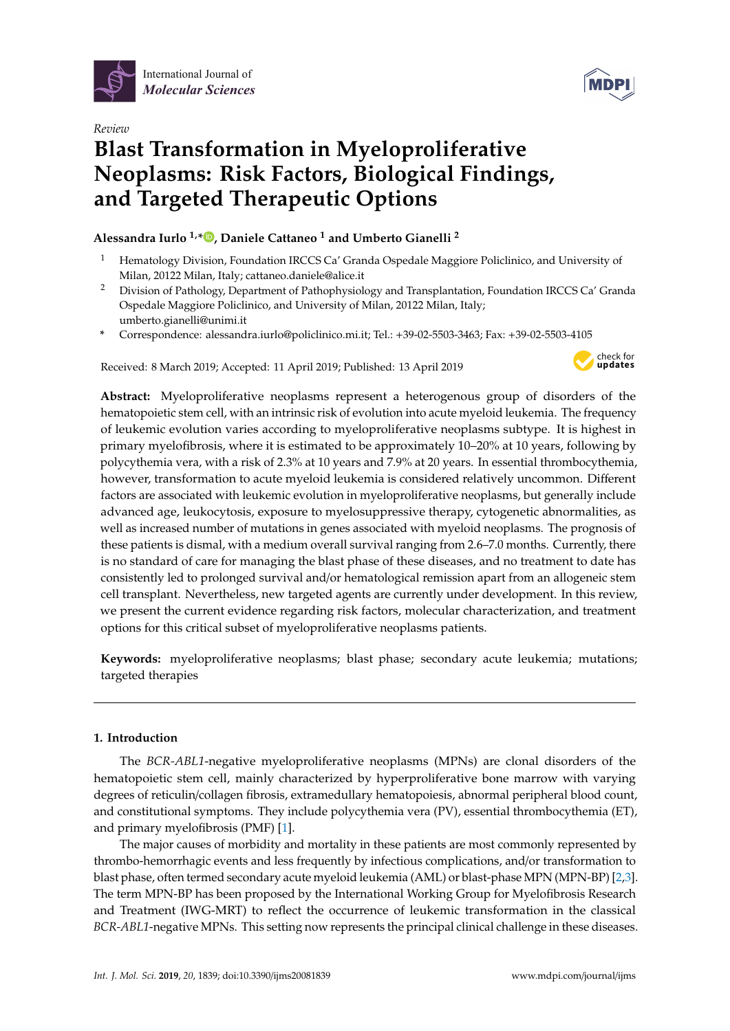

*Review*



# **Blast Transformation in Myeloproliferative Neoplasms: Risk Factors, Biological Findings, and Targeted Therapeutic Options**

# **Alessandra Iurlo 1,\* [,](https://orcid.org/0000-0002-4401-0812) Daniele Cattaneo <sup>1</sup> and Umberto Gianelli <sup>2</sup>**

- <sup>1</sup> Hematology Division, Foundation IRCCS Ca' Granda Ospedale Maggiore Policlinico, and University of Milan, 20122 Milan, Italy; cattaneo.daniele@alice.it
- <sup>2</sup> Division of Pathology, Department of Pathophysiology and Transplantation, Foundation IRCCS Ca' Granda Ospedale Maggiore Policlinico, and University of Milan, 20122 Milan, Italy; umberto.gianelli@unimi.it
- **\*** Correspondence: alessandra.iurlo@policlinico.mi.it; Tel.: +39-02-5503-3463; Fax: +39-02-5503-4105

Received: 8 March 2019; Accepted: 11 April 2019; Published: 13 April 2019



**Abstract:** Myeloproliferative neoplasms represent a heterogenous group of disorders of the hematopoietic stem cell, with an intrinsic risk of evolution into acute myeloid leukemia. The frequency of leukemic evolution varies according to myeloproliferative neoplasms subtype. It is highest in primary myelofibrosis, where it is estimated to be approximately 10–20% at 10 years, following by polycythemia vera, with a risk of 2.3% at 10 years and 7.9% at 20 years. In essential thrombocythemia, however, transformation to acute myeloid leukemia is considered relatively uncommon. Different factors are associated with leukemic evolution in myeloproliferative neoplasms, but generally include advanced age, leukocytosis, exposure to myelosuppressive therapy, cytogenetic abnormalities, as well as increased number of mutations in genes associated with myeloid neoplasms. The prognosis of these patients is dismal, with a medium overall survival ranging from 2.6–7.0 months. Currently, there is no standard of care for managing the blast phase of these diseases, and no treatment to date has consistently led to prolonged survival and/or hematological remission apart from an allogeneic stem cell transplant. Nevertheless, new targeted agents are currently under development. In this review, we present the current evidence regarding risk factors, molecular characterization, and treatment options for this critical subset of myeloproliferative neoplasms patients.

**Keywords:** myeloproliferative neoplasms; blast phase; secondary acute leukemia; mutations; targeted therapies

## **1. Introduction**

The *BCR-ABL1*-negative myeloproliferative neoplasms (MPNs) are clonal disorders of the hematopoietic stem cell, mainly characterized by hyperproliferative bone marrow with varying degrees of reticulin/collagen fibrosis, extramedullary hematopoiesis, abnormal peripheral blood count, and constitutional symptoms. They include polycythemia vera (PV), essential thrombocythemia (ET), and primary myelofibrosis (PMF) [\[1\]](#page-8-0).

The major causes of morbidity and mortality in these patients are most commonly represented by thrombo-hemorrhagic events and less frequently by infectious complications, and/or transformation to blast phase, often termed secondary acute myeloid leukemia (AML) or blast-phase MPN (MPN-BP) [\[2](#page-8-1)[,3\]](#page-8-2). The term MPN-BP has been proposed by the International Working Group for Myelofibrosis Research and Treatment (IWG-MRT) to reflect the occurrence of leukemic transformation in the classical *BCR-ABL1*-negative MPNs. This setting now represents the principal clinical challenge in these diseases.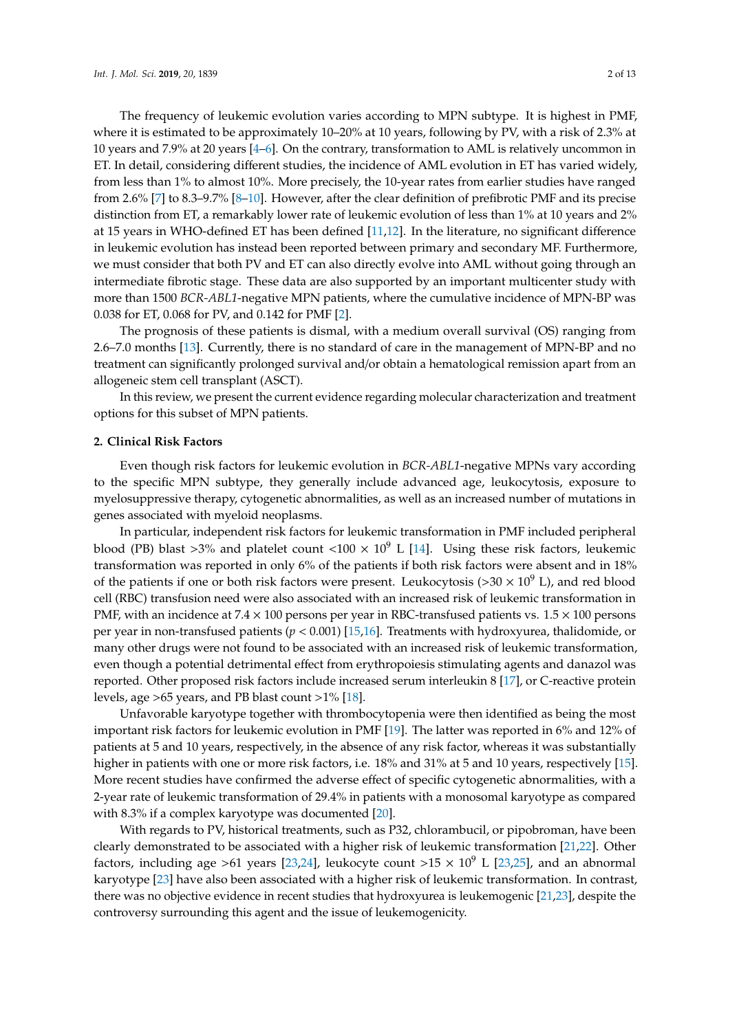The frequency of leukemic evolution varies according to MPN subtype. It is highest in PMF, where it is estimated to be approximately 10–20% at 10 years, following by PV, with a risk of 2.3% at 10 years and 7.9% at 20 years [\[4–](#page-8-3)[6\]](#page-8-4). On the contrary, transformation to AML is relatively uncommon in ET. In detail, considering different studies, the incidence of AML evolution in ET has varied widely, from less than 1% to almost 10%. More precisely, the 10-year rates from earlier studies have ranged from 2.6% [\[7\]](#page-8-5) to 8.3–9.7% [\[8](#page-8-6)[–10\]](#page-8-7). However, after the clear definition of prefibrotic PMF and its precise distinction from ET, a remarkably lower rate of leukemic evolution of less than 1% at 10 years and 2% at 15 years in WHO-defined ET has been defined [\[11](#page-8-8)[,12\]](#page-8-9). In the literature, no significant difference in leukemic evolution has instead been reported between primary and secondary MF. Furthermore, we must consider that both PV and ET can also directly evolve into AML without going through an intermediate fibrotic stage. These data are also supported by an important multicenter study with more than 1500 *BCR-ABL1*-negative MPN patients, where the cumulative incidence of MPN-BP was 0.038 for ET, 0.068 for PV, and 0.142 for PMF [\[2\]](#page-8-1).

The prognosis of these patients is dismal, with a medium overall survival (OS) ranging from 2.6–7.0 months [\[13\]](#page-8-10). Currently, there is no standard of care in the management of MPN-BP and no treatment can significantly prolonged survival and/or obtain a hematological remission apart from an allogeneic stem cell transplant (ASCT).

In this review, we present the current evidence regarding molecular characterization and treatment options for this subset of MPN patients.

#### **2. Clinical Risk Factors**

Even though risk factors for leukemic evolution in *BCR-ABL1*-negative MPNs vary according to the specific MPN subtype, they generally include advanced age, leukocytosis, exposure to myelosuppressive therapy, cytogenetic abnormalities, as well as an increased number of mutations in genes associated with myeloid neoplasms.

In particular, independent risk factors for leukemic transformation in PMF included peripheral blood (PB) blast >3% and platelet count <100  $\times$  10<sup>9</sup> L [\[14\]](#page-8-11). Using these risk factors, leukemic transformation was reported in only 6% of the patients if both risk factors were absent and in 18% of the patients if one or both risk factors were present. Leukocytosis ( $>$ 30  $\times$  10<sup>9</sup> L), and red blood cell (RBC) transfusion need were also associated with an increased risk of leukemic transformation in PMF, with an incidence at  $7.4 \times 100$  persons per year in RBC-transfused patients vs.  $1.5 \times 100$  persons per year in non-transfused patients (*p* < 0.001) [\[15](#page-8-12)[,16\]](#page-8-13). Treatments with hydroxyurea, thalidomide, or many other drugs were not found to be associated with an increased risk of leukemic transformation, even though a potential detrimental effect from erythropoiesis stimulating agents and danazol was reported. Other proposed risk factors include increased serum interleukin 8 [\[17\]](#page-9-0), or C-reactive protein levels, age >65 years, and PB blast count >1% [\[18\]](#page-9-1).

Unfavorable karyotype together with thrombocytopenia were then identified as being the most important risk factors for leukemic evolution in PMF [\[19\]](#page-9-2). The latter was reported in 6% and 12% of patients at 5 and 10 years, respectively, in the absence of any risk factor, whereas it was substantially higher in patients with one or more risk factors, i.e. 18% and 31% at 5 and 10 years, respectively [\[15\]](#page-8-12). More recent studies have confirmed the adverse effect of specific cytogenetic abnormalities, with a 2-year rate of leukemic transformation of 29.4% in patients with a monosomal karyotype as compared with 8.3% if a complex karyotype was documented [\[20\]](#page-9-3).

With regards to PV, historical treatments, such as P32, chlorambucil, or pipobroman, have been clearly demonstrated to be associated with a higher risk of leukemic transformation [\[21,](#page-9-4)[22\]](#page-9-5). Other factors, including age >61 years [\[23](#page-9-6)[,24\]](#page-9-7), leukocyte count >15  $\times$  10<sup>9</sup> L [23[,25\]](#page-9-8), and an abnormal karyotype [\[23\]](#page-9-6) have also been associated with a higher risk of leukemic transformation. In contrast, there was no objective evidence in recent studies that hydroxyurea is leukemogenic [\[21](#page-9-4)[,23\]](#page-9-6), despite the controversy surrounding this agent and the issue of leukemogenicity.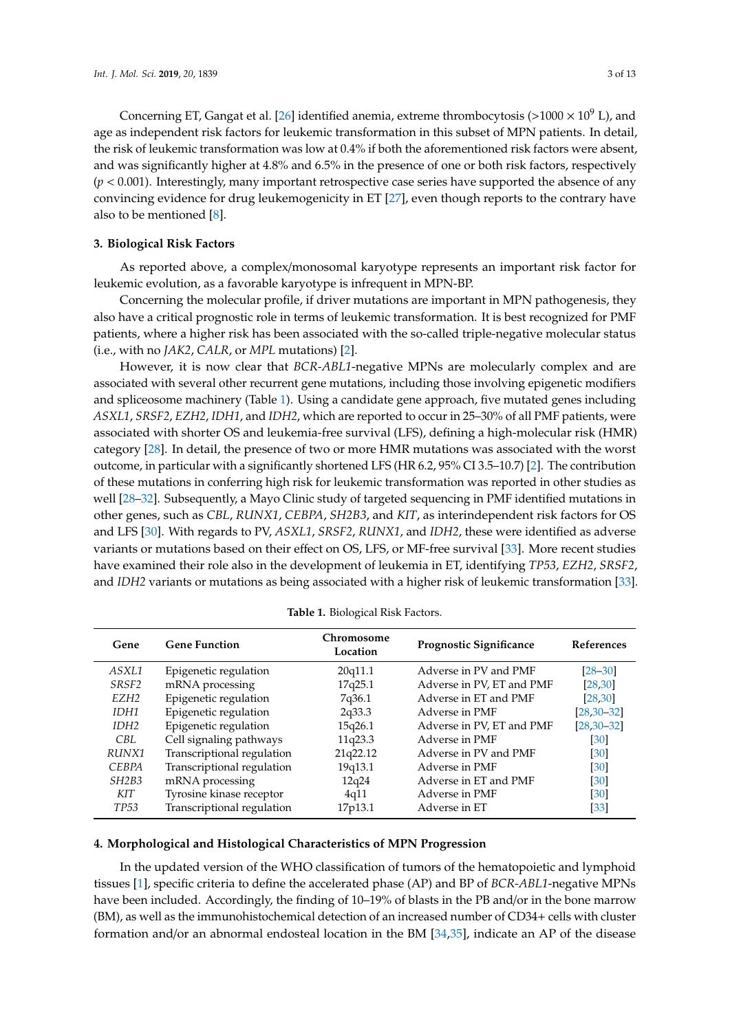Concerning ET, Gangat et al. [\[26\]](#page-9-9) identified anemia, extreme thrombocytosis (>1000  $\times$  10<sup>9</sup> L), and age as independent risk factors for leukemic transformation in this subset of MPN patients. In detail, the risk of leukemic transformation was low at 0.4% if both the aforementioned risk factors were absent, and was significantly higher at 4.8% and 6.5% in the presence of one or both risk factors, respectively  $(p < 0.001)$ . Interestingly, many important retrospective case series have supported the absence of any convincing evidence for drug leukemogenicity in ET [\[27\]](#page-9-10), even though reports to the contrary have also to be mentioned [\[8\]](#page-8-6).

### **3. Biological Risk Factors**

As reported above, a complex/monosomal karyotype represents an important risk factor for leukemic evolution, as a favorable karyotype is infrequent in MPN-BP.

Concerning the molecular profile, if driver mutations are important in MPN pathogenesis, they also have a critical prognostic role in terms of leukemic transformation. It is best recognized for PMF patients, where a higher risk has been associated with the so-called triple-negative molecular status (i.e., with no *JAK2*, *CALR*, or *MPL* mutations) [\[2\]](#page-8-1).

However, it is now clear that *BCR-ABL1*-negative MPNs are molecularly complex and are associated with several other recurrent gene mutations, including those involving epigenetic modifiers and spliceosome machinery (Table [1\)](#page-2-0). Using a candidate gene approach, five mutated genes including *ASXL1*, *SRSF2*, *EZH2*, *IDH1*, and *IDH2*, which are reported to occur in 25–30% of all PMF patients, were associated with shorter OS and leukemia-free survival (LFS), defining a high-molecular risk (HMR) category [\[28\]](#page-9-11). In detail, the presence of two or more HMR mutations was associated with the worst outcome, in particular with a significantly shortened LFS (HR 6.2, 95% CI 3.5–10.7) [\[2\]](#page-8-1). The contribution of these mutations in conferring high risk for leukemic transformation was reported in other studies as well [\[28](#page-9-11)[–32\]](#page-9-12). Subsequently, a Mayo Clinic study of targeted sequencing in PMF identified mutations in other genes, such as *CBL*, *RUNX1*, *CEBPA*, *SH2B3*, and *KIT*, as interindependent risk factors for OS and LFS [\[30\]](#page-9-13). With regards to PV, *ASXL1*, *SRSF2*, *RUNX1*, and *IDH2*, these were identified as adverse variants or mutations based on their effect on OS, LFS, or MF-free survival [\[33\]](#page-9-14). More recent studies have examined their role also in the development of leukemia in ET, identifying *TP53*, *EZH2*, *SRSF2*, and *IDH2* variants or mutations as being associated with a higher risk of leukemic transformation [\[33\]](#page-9-14).

<span id="page-2-0"></span>

| Gene              | <b>Gene Function</b>       | Chromosome<br>Location | Prognostic Significance   | References         |
|-------------------|----------------------------|------------------------|---------------------------|--------------------|
| ASXL1             | Epigenetic regulation      | 20q11.1                | Adverse in PV and PMF     | $[28 - 30]$        |
| SRSF <sub>2</sub> | mRNA processing            | 17q25.1                | Adverse in PV, ET and PMF | [28, 30]           |
| EZH <sub>2</sub>  | Epigenetic regulation      | 7q36.1                 | Adverse in ET and PMF     | [28, 30]           |
| IDH1              | Epigenetic regulation      | 2q33.3                 | Adverse in PMF            | $[28, 30 - 32]$    |
| IDH <sub>2</sub>  | Epigenetic regulation      | 15q26.1                | Adverse in PV, ET and PMF | $[28, 30 - 32]$    |
| CBL.              | Cell signaling pathways    | 11q23.3                | Adverse in PMF            | [30]               |
| RUNX1             | Transcriptional regulation | 21q22.12               | Adverse in PV and PMF     | [30]               |
| <b>CEBPA</b>      | Transcriptional regulation | 19q13.1                | Adverse in PMF            | [30]               |
| SH2B3             | mRNA processing            | 12q24                  | Adverse in ET and PMF     | $\lceil 30 \rceil$ |
| KIT               | Tyrosine kinase receptor   | 4q11                   | Adverse in PMF            | [30]               |
| TP <sub>53</sub>  | Transcriptional regulation | 17p13.1                | Adverse in ET             | [33]               |

**Table 1.** Biological Risk Factors.

## **4. Morphological and Histological Characteristics of MPN Progression**

In the updated version of the WHO classification of tumors of the hematopoietic and lymphoid tissues [\[1\]](#page-8-0), specific criteria to define the accelerated phase (AP) and BP of *BCR-ABL1*-negative MPNs have been included. Accordingly, the finding of 10-19% of blasts in the PB and/or in the bone marrow (BM), as well as the immunohistochemical detection of an increased number of CD34+ cells with cluster formation and/or an abnormal endosteal location in the BM [\[34,](#page-9-15)[35\]](#page-10-0), indicate an AP of the disease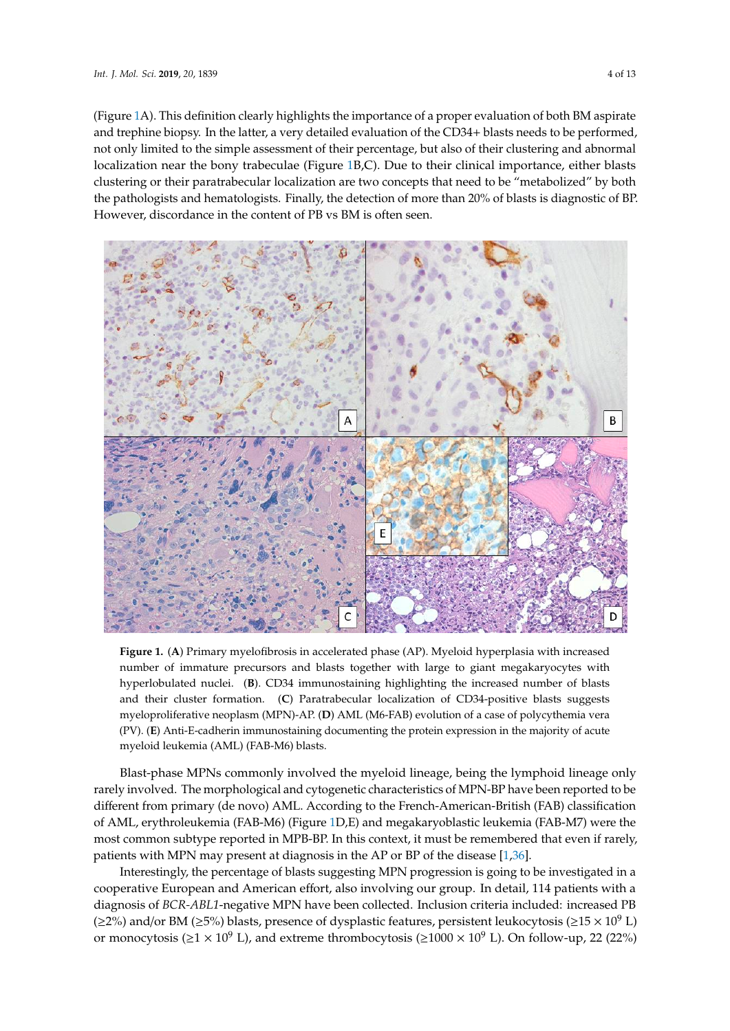(Figure 1A). This definition clearly highlights the importance of a proper [e](#page-3-0)valuation of both BM aspirate and trephine biopsy. In the latter, a very detailed evaluation of the CD34+ blasts needs to be performed, and trephine biopsy. In the latter, a very detailed evaluation of the CD34+ blasts needs to be performed,<br>not only limited to the simple assessment of their percentage, but also of their clustering and abnormal localization near the [b](#page-3-0)ony trabeculae (Figure 1B,C). Due to their clinical importance, either blasts clustering or their paratrabecular localization are two concepts that need to be "metabolized" by both the pathologists and hematologists. Finally, the detection of more than 20% of blasts is diagnostic of BP. However, discordance in the content of PB vs BM is often seen. PB vs BM is often seen.

<span id="page-3-0"></span>

**Figure 1.** (**A**) Primary myelofibrosis in accelerated phase (AP). Myeloid hyperplasia with increased **Figure 1.** (**A**) Primary myelofibrosis in accelerated phase (AP). Myeloid hyperplasia with increased number of immature precursors and blasts together with large to giant megakaryocytes with number of immature precursors and blasts together with large to giant megakaryocytes with hyperlobulated nuclei. (**B**). CD34 immunostaining highlighting the increased number of blasts their cluster formation. (**C**) Paratrabecular localization of CD34-positive blasts suggests and their cluster formation. (**C**) Paratrabecular localization of CD34-positive blasts suggests myeloproliferative neoplasm (MPN)-AP. (**D**) AML (M6-FAB) evolution of a case of polycythemia myeloproliferative neoplasm (MPN)-AP. (**D**) AML (M6-FAB) evolution of a case of polycythemia vera vera (PV). (**E**) Anti-E-cadherin immunostaining documenting the protein expression in the majority (PV). (**E**) Anti-E-cadherin immunostaining documenting the protein expression in the majority of acute myeloid leukemia (AML) (FAB-M6) blasts.

Blast-phase MPNs commonly involved the myeloid lineage, being the lymphoid lineage only Blast-phase MPNs commonly involved the myeloid lineage, being the lymphoid lineage only rarely involved. The morphological and cytogenetic characteristics of MPN-BP have been reported rarely involved. The morphological and cytogenetic characteristics of MPN-BP have been reported to be different from primary (de novo) AML. According to the French-American-British (FAB) classification of AML, erythroleukemia (FAB-M6) (Figure [1D](#page-3-0),E) and megakaryoblastic leukemia (FAB-M7) were the most common subtype reported in MPB-BP. In this context, it must be remembered that even if rarely, patients with MPN may present at diagnosis in the AP or BP of the disease [\[1,](#page-8-0)[36\]](#page-10-1).

Interestingly, the percentage of blasts suggesting MPN progression is going to be investigated in a cooperative European and American effort, also involving our group. In detail, 114 patients with a diagnosis of *BCR-ABL1*-negative MPN have been collected. Inclusion criteria included: increased PB  $(\geq 2\%)$  and/or BM ( $\geq 5\%$ ) blasts, presence of dysplastic features, persistent leukocytosis ( $\geq 15 \times 10^9$  L) or monocytosis ( $\geq$ 1 × 10<sup>9</sup> L), and extreme thrombocytosis ( $\geq$ 1000 × 10<sup>9</sup> L). On follow-up, 22 (22%)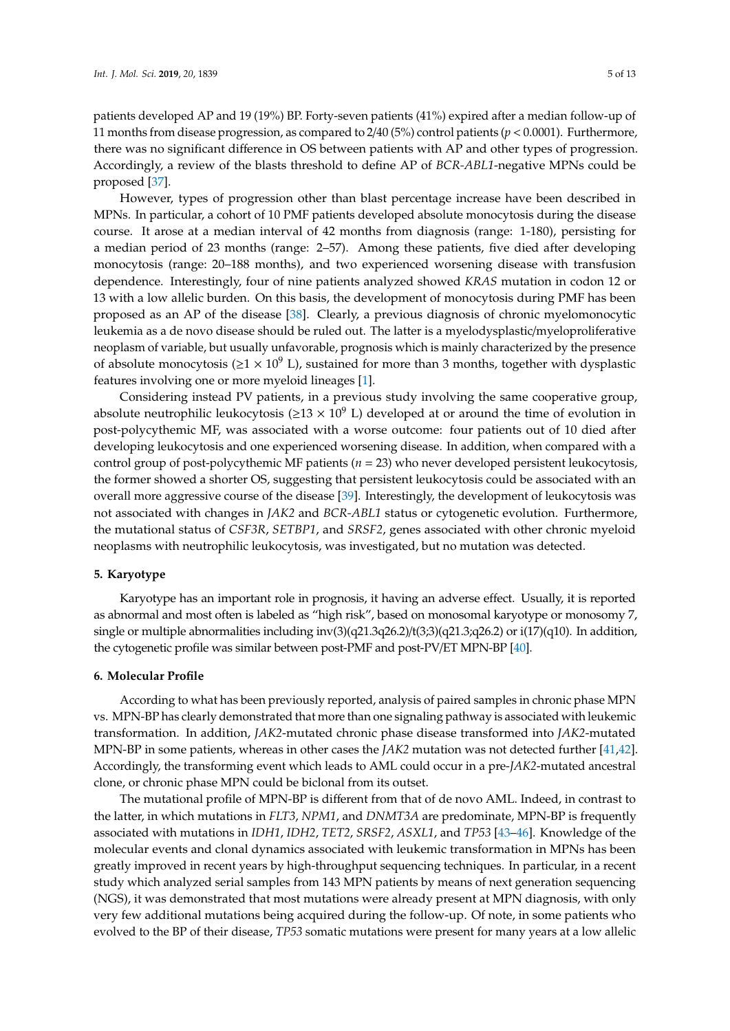patients developed AP and 19 (19%) BP. Forty-seven patients (41%) expired after a median follow-up of 11 months from disease progression, as compared to 2/40 (5%) control patients (*p* < 0.0001). Furthermore, there was no significant difference in OS between patients with AP and other types of progression. Accordingly, a review of the blasts threshold to define AP of *BCR-ABL1*-negative MPNs could be proposed [\[37\]](#page-10-2).

However, types of progression other than blast percentage increase have been described in MPNs. In particular, a cohort of 10 PMF patients developed absolute monocytosis during the disease course. It arose at a median interval of 42 months from diagnosis (range: 1-180), persisting for a median period of 23 months (range: 2–57). Among these patients, five died after developing monocytosis (range: 20–188 months), and two experienced worsening disease with transfusion dependence. Interestingly, four of nine patients analyzed showed *KRAS* mutation in codon 12 or 13 with a low allelic burden. On this basis, the development of monocytosis during PMF has been proposed as an AP of the disease [\[38\]](#page-10-3). Clearly, a previous diagnosis of chronic myelomonocytic leukemia as a de novo disease should be ruled out. The latter is a myelodysplastic/myeloproliferative neoplasm of variable, but usually unfavorable, prognosis which is mainly characterized by the presence of absolute monocytosis ( $\geq 1 \times 10^9$  L), sustained for more than 3 months, together with dysplastic features involving one or more myeloid lineages [\[1\]](#page-8-0).

Considering instead PV patients, in a previous study involving the same cooperative group, absolute neutrophilic leukocytosis ( $\geq$ 13 × 10<sup>9</sup> L) developed at or around the time of evolution in post-polycythemic MF, was associated with a worse outcome: four patients out of 10 died after developing leukocytosis and one experienced worsening disease. In addition, when compared with a control group of post-polycythemic MF patients (*n* = 23) who never developed persistent leukocytosis, the former showed a shorter OS, suggesting that persistent leukocytosis could be associated with an overall more aggressive course of the disease [\[39\]](#page-10-4). Interestingly, the development of leukocytosis was not associated with changes in *JAK2* and *BCR-ABL1* status or cytogenetic evolution. Furthermore, the mutational status of *CSF3R*, *SETBP1*, and *SRSF2*, genes associated with other chronic myeloid neoplasms with neutrophilic leukocytosis, was investigated, but no mutation was detected.

#### **5. Karyotype**

Karyotype has an important role in prognosis, it having an adverse effect. Usually, it is reported as abnormal and most often is labeled as "high risk", based on monosomal karyotype or monosomy 7, single or multiple abnormalities including inv(3)(q21.3q26.2)/t(3;3)(q21.3;q26.2) or i(17)(q10). In addition, the cytogenetic profile was similar between post-PMF and post-PV/ET MPN-BP [\[40\]](#page-10-5).

#### **6. Molecular Profile**

According to what has been previously reported, analysis of paired samples in chronic phase MPN vs. MPN-BP has clearly demonstrated that more than one signaling pathway is associated with leukemic transformation. In addition, *JAK2*-mutated chronic phase disease transformed into *JAK2*-mutated MPN-BP in some patients, whereas in other cases the *JAK2* mutation was not detected further [\[41,](#page-10-6)[42\]](#page-10-7). Accordingly, the transforming event which leads to AML could occur in a pre-*JAK2*-mutated ancestral clone, or chronic phase MPN could be biclonal from its outset.

The mutational profile of MPN-BP is different from that of de novo AML. Indeed, in contrast to the latter, in which mutations in *FLT3*, *NPM1*, and *DNMT3A* are predominate, MPN-BP is frequently associated with mutations in *IDH1*, *IDH2*, *TET2*, *SRSF2*, *ASXL1*, and *TP53* [\[43](#page-10-8)[–46\]](#page-10-9). Knowledge of the molecular events and clonal dynamics associated with leukemic transformation in MPNs has been greatly improved in recent years by high-throughput sequencing techniques. In particular, in a recent study which analyzed serial samples from 143 MPN patients by means of next generation sequencing (NGS), it was demonstrated that most mutations were already present at MPN diagnosis, with only very few additional mutations being acquired during the follow-up. Of note, in some patients who evolved to the BP of their disease, *TP53* somatic mutations were present for many years at a low allelic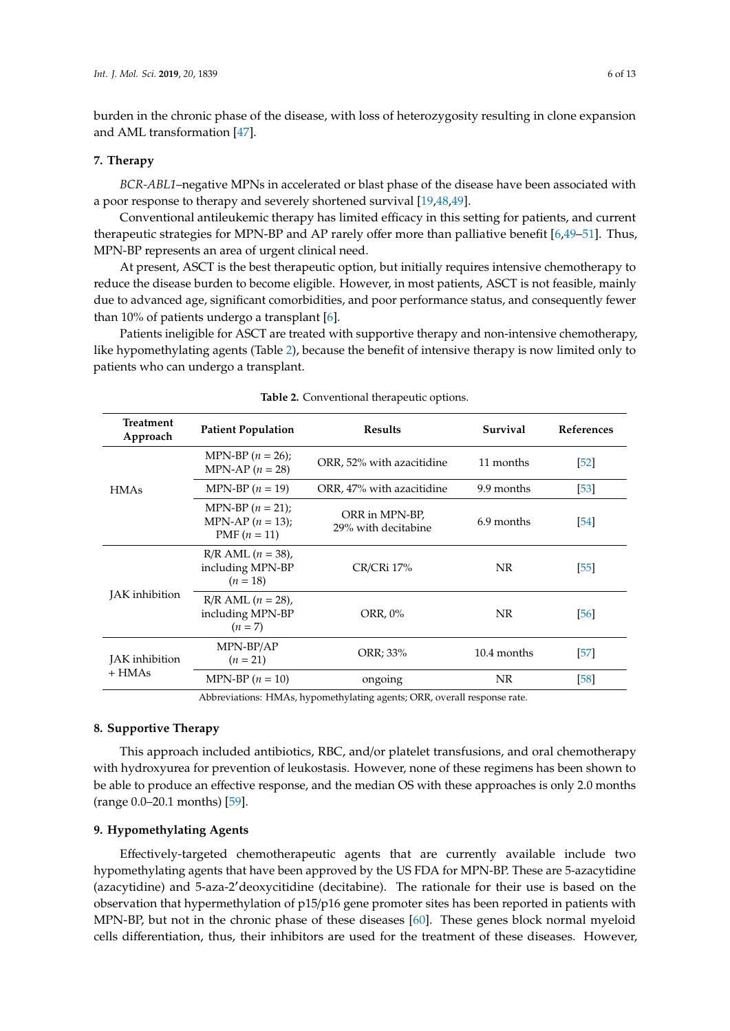burden in the chronic phase of the disease, with loss of heterozygosity resulting in clone expansion and AML transformation [\[47\]](#page-10-10).

#### **7. Therapy**

*BCR-ABL1*–negative MPNs in accelerated or blast phase of the disease have been associated with a poor response to therapy and severely shortened survival [\[19](#page-9-2)[,48](#page-10-11)[,49\]](#page-10-12).

Conventional antileukemic therapy has limited efficacy in this setting for patients, and current therapeutic strategies for MPN-BP and AP rarely offer more than palliative benefit [\[6](#page-8-4)[,49](#page-10-12)[–51\]](#page-10-13). Thus, MPN-BP represents an area of urgent clinical need.

At present, ASCT is the best therapeutic option, but initially requires intensive chemotherapy to reduce the disease burden to become eligible. However, in most patients, ASCT is not feasible, mainly due to advanced age, significant comorbidities, and poor performance status, and consequently fewer than 10% of patients undergo a transplant [\[6\]](#page-8-4).

Patients ineligible for ASCT are treated with supportive therapy and non-intensive chemotherapy, like hypomethylating agents (Table [2\)](#page-5-0), because the benefit of intensive therapy is now limited only to patients who can undergo a transplant.

<span id="page-5-0"></span>

| <b>Treatment</b><br>Approach | <b>Patient Population</b>                                    | Survival<br><b>Results</b>            |             | <b>References</b> |
|------------------------------|--------------------------------------------------------------|---------------------------------------|-------------|-------------------|
|                              | MPN-BP $(n = 26)$ ;<br>MPN-AP $(n = 28)$                     | ORR, 52% with azacitidine             | 11 months   | [52]              |
| <b>HMAs</b>                  | MPN-BP $(n = 19)$                                            | ORR, 47% with azacitidine             | 9.9 months  | $[53]$            |
|                              | MPN-BP $(n = 21)$ ;<br>MPN-AP $(n = 13)$ ;<br>PMF $(n = 11)$ | ORR in MPN-BP,<br>29% with decitabine | 6.9 months  | $[54]$            |
|                              | $R/R$ AML $(n = 38)$ ,<br>including MPN-BP<br>$(n = 18)$     | CR/CRi 17%                            | NR.         | [55]              |
| JAK inhibition               | $R/R$ AML $(n = 28)$ ,<br>including MPN-BP<br>$(n=7)$        | ORR, 0%                               | NR.         | [56]              |
| JAK inhibition<br>$+$ HMAs   | MPN-BP/AP<br>$(n = 21)$                                      | ORR; 33%                              | 10.4 months | $[57]$            |
|                              | MPN-BP $(n = 10)$                                            | ongoing                               | NR          | [58]              |
|                              |                                                              | $-1$ $-1$ $-1$<br>$\sim$ nn           |             |                   |

| Table 2. Conventional therapeutic options. |  |
|--------------------------------------------|--|
|                                            |  |

Abbreviations: HMAs, hypomethylating agents; ORR, overall response rate.

## **8. Supportive Therapy**

This approach included antibiotics, RBC, and/or platelet transfusions, and oral chemotherapy with hydroxyurea for prevention of leukostasis. However, none of these regimens has been shown to be able to produce an effective response, and the median OS with these approaches is only 2.0 months (range 0.0–20.1 months) [\[59\]](#page-11-6).

#### **9. Hypomethylating Agents**

Effectively-targeted chemotherapeutic agents that are currently available include two hypomethylating agents that have been approved by the US FDA for MPN-BP. These are 5-azacytidine (azacytidine) and 5-aza-2'deoxycitidine (decitabine). The rationale for their use is based on the observation that hypermethylation of p15/p16 gene promoter sites has been reported in patients with MPN-BP, but not in the chronic phase of these diseases [\[60\]](#page-11-7). These genes block normal myeloid cells differentiation, thus, their inhibitors are used for the treatment of these diseases. However,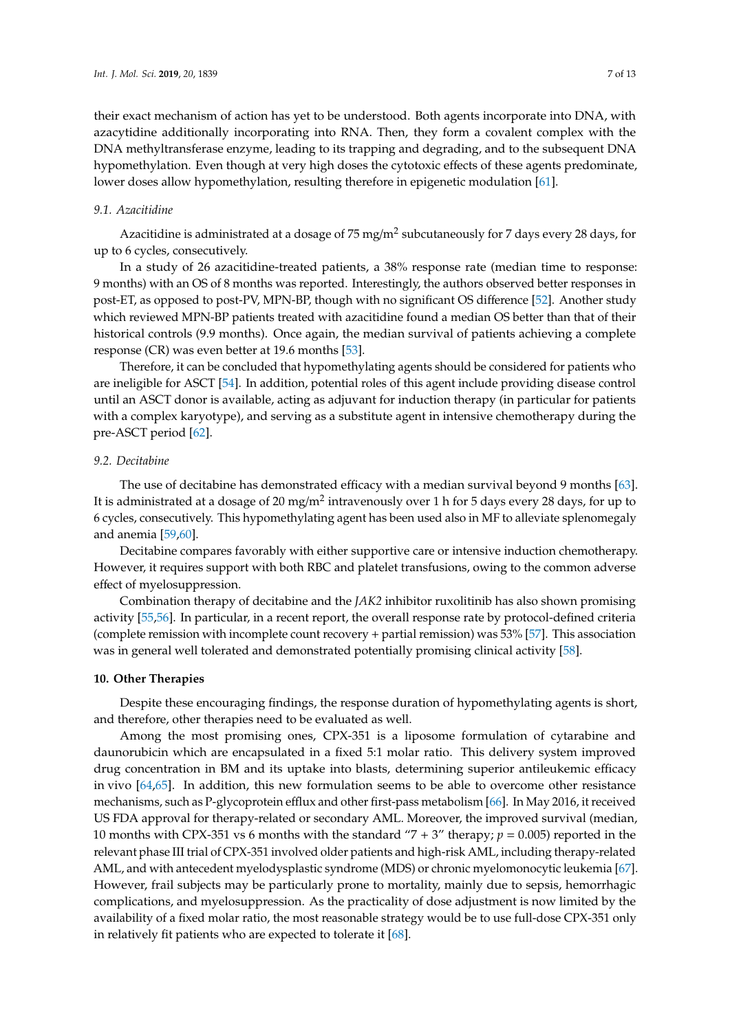their exact mechanism of action has yet to be understood. Both agents incorporate into DNA, with azacytidine additionally incorporating into RNA. Then, they form a covalent complex with the DNA methyltransferase enzyme, leading to its trapping and degrading, and to the subsequent DNA hypomethylation. Even though at very high doses the cytotoxic effects of these agents predominate, lower doses allow hypomethylation, resulting therefore in epigenetic modulation [\[61\]](#page-11-8).

#### *9.1. Azacitidine*

Azacitidine is administrated at a dosage of 75 mg/m<sup>2</sup> subcutaneously for 7 days every 28 days, for up to 6 cycles, consecutively.

In a study of 26 azacitidine-treated patients, a 38% response rate (median time to response: 9 months) with an OS of 8 months was reported. Interestingly, the authors observed better responses in post-ET, as opposed to post-PV, MPN-BP, though with no significant OS difference [\[52\]](#page-10-14). Another study which reviewed MPN-BP patients treated with azacitidine found a median OS better than that of their historical controls (9.9 months). Once again, the median survival of patients achieving a complete response (CR) was even better at 19.6 months [\[53\]](#page-11-0).

Therefore, it can be concluded that hypomethylating agents should be considered for patients who are ineligible for ASCT [\[54\]](#page-11-1). In addition, potential roles of this agent include providing disease control until an ASCT donor is available, acting as adjuvant for induction therapy (in particular for patients with a complex karyotype), and serving as a substitute agent in intensive chemotherapy during the pre-ASCT period [\[62\]](#page-11-9).

## *9.2. Decitabine*

The use of decitabine has demonstrated efficacy with a median survival beyond 9 months [\[63\]](#page-11-10). It is administrated at a dosage of 20 mg/m $^2$  intravenously over 1 h for 5 days every 28 days, for up to 6 cycles, consecutively. This hypomethylating agent has been used also in MF to alleviate splenomegaly and anemia [\[59](#page-11-6)[,60\]](#page-11-7).

Decitabine compares favorably with either supportive care or intensive induction chemotherapy. However, it requires support with both RBC and platelet transfusions, owing to the common adverse effect of myelosuppression.

Combination therapy of decitabine and the *JAK2* inhibitor ruxolitinib has also shown promising activity [\[55](#page-11-2)[,56\]](#page-11-3). In particular, in a recent report, the overall response rate by protocol-defined criteria (complete remission with incomplete count recovery + partial remission) was 53% [\[57\]](#page-11-4). This association was in general well tolerated and demonstrated potentially promising clinical activity [\[58\]](#page-11-5).

#### **10. Other Therapies**

Despite these encouraging findings, the response duration of hypomethylating agents is short, and therefore, other therapies need to be evaluated as well.

Among the most promising ones, CPX-351 is a liposome formulation of cytarabine and daunorubicin which are encapsulated in a fixed 5:1 molar ratio. This delivery system improved drug concentration in BM and its uptake into blasts, determining superior antileukemic efficacy in vivo [\[64](#page-11-11)[,65\]](#page-11-12). In addition, this new formulation seems to be able to overcome other resistance mechanisms, such as P-glycoprotein efflux and other first-pass metabolism [\[66\]](#page-11-13). In May 2016, it received US FDA approval for therapy-related or secondary AML. Moreover, the improved survival (median, 10 months with CPX-351 vs 6 months with the standard "7 + 3" therapy; *p* = 0.005) reported in the relevant phase III trial of CPX-351 involved older patients and high-risk AML, including therapy-related AML, and with antecedent myelodysplastic syndrome (MDS) or chronic myelomonocytic leukemia [\[67\]](#page-11-14). However, frail subjects may be particularly prone to mortality, mainly due to sepsis, hemorrhagic complications, and myelosuppression. As the practicality of dose adjustment is now limited by the availability of a fixed molar ratio, the most reasonable strategy would be to use full-dose CPX-351 only in relatively fit patients who are expected to tolerate it [\[68\]](#page-11-15).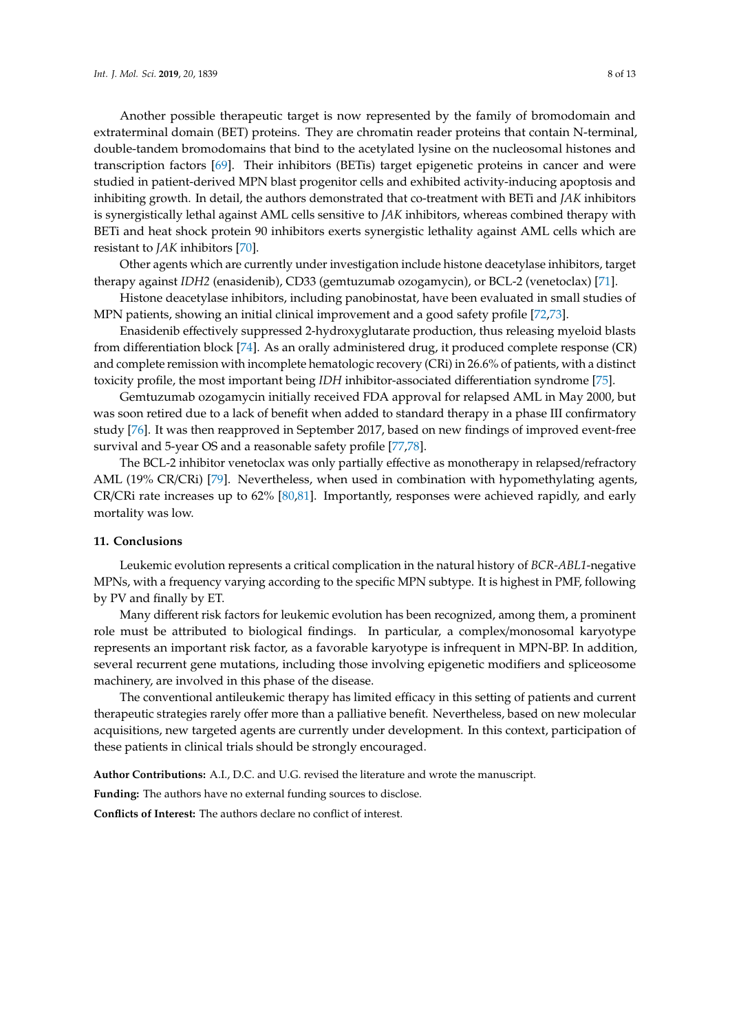Another possible therapeutic target is now represented by the family of bromodomain and extraterminal domain (BET) proteins. They are chromatin reader proteins that contain N-terminal, double-tandem bromodomains that bind to the acetylated lysine on the nucleosomal histones and transcription factors [\[69\]](#page-11-16). Their inhibitors (BETis) target epigenetic proteins in cancer and were studied in patient-derived MPN blast progenitor cells and exhibited activity-inducing apoptosis and inhibiting growth. In detail, the authors demonstrated that co-treatment with BETi and *JAK* inhibitors is synergistically lethal against AML cells sensitive to *JAK* inhibitors, whereas combined therapy with BETi and heat shock protein 90 inhibitors exerts synergistic lethality against AML cells which are resistant to *JAK* inhibitors [\[70\]](#page-12-0).

Other agents which are currently under investigation include histone deacetylase inhibitors, target therapy against *IDH2* (enasidenib), CD33 (gemtuzumab ozogamycin), or BCL-2 (venetoclax) [\[71\]](#page-12-1).

Histone deacetylase inhibitors, including panobinostat, have been evaluated in small studies of MPN patients, showing an initial clinical improvement and a good safety profile [\[72](#page-12-2)[,73\]](#page-12-3).

Enasidenib effectively suppressed 2-hydroxyglutarate production, thus releasing myeloid blasts from differentiation block [\[74\]](#page-12-4). As an orally administered drug, it produced complete response (CR) and complete remission with incomplete hematologic recovery (CRi) in 26.6% of patients, with a distinct toxicity profile, the most important being *IDH* inhibitor-associated differentiation syndrome [\[75\]](#page-12-5).

Gemtuzumab ozogamycin initially received FDA approval for relapsed AML in May 2000, but was soon retired due to a lack of benefit when added to standard therapy in a phase III confirmatory study [\[76\]](#page-12-6). It was then reapproved in September 2017, based on new findings of improved event-free survival and 5-year OS and a reasonable safety profile [\[77](#page-12-7)[,78\]](#page-12-8).

The BCL-2 inhibitor venetoclax was only partially effective as monotherapy in relapsed/refractory AML (19% CR/CRi) [\[79\]](#page-12-9). Nevertheless, when used in combination with hypomethylating agents, CR/CRi rate increases up to 62% [\[80,](#page-12-10)[81\]](#page-12-11). Importantly, responses were achieved rapidly, and early mortality was low.

#### **11. Conclusions**

Leukemic evolution represents a critical complication in the natural history of *BCR-ABL1*-negative MPNs, with a frequency varying according to the specific MPN subtype. It is highest in PMF, following by PV and finally by ET.

Many different risk factors for leukemic evolution has been recognized, among them, a prominent role must be attributed to biological findings. In particular, a complex/monosomal karyotype represents an important risk factor, as a favorable karyotype is infrequent in MPN-BP. In addition, several recurrent gene mutations, including those involving epigenetic modifiers and spliceosome machinery, are involved in this phase of the disease.

The conventional antileukemic therapy has limited efficacy in this setting of patients and current therapeutic strategies rarely offer more than a palliative benefit. Nevertheless, based on new molecular acquisitions, new targeted agents are currently under development. In this context, participation of these patients in clinical trials should be strongly encouraged.

**Author Contributions:** A.I., D.C. and U.G. revised the literature and wrote the manuscript.

**Funding:** The authors have no external funding sources to disclose.

**Conflicts of Interest:** The authors declare no conflict of interest.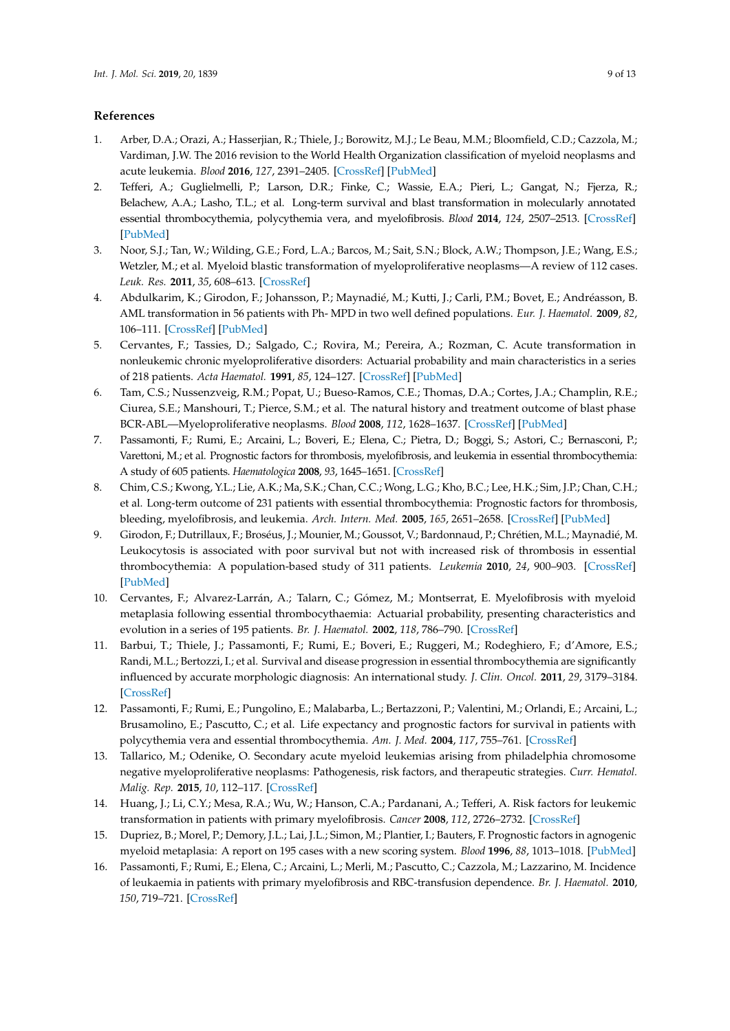## **References**

- <span id="page-8-0"></span>1. Arber, D.A.; Orazi, A.; Hasserjian, R.; Thiele, J.; Borowitz, M.J.; Le Beau, M.M.; Bloomfield, C.D.; Cazzola, M.; Vardiman, J.W. The 2016 revision to the World Health Organization classification of myeloid neoplasms and acute leukemia. *Blood* **2016**, *127*, 2391–2405. [\[CrossRef\]](http://dx.doi.org/10.1182/blood-2016-03-643544) [\[PubMed\]](http://www.ncbi.nlm.nih.gov/pubmed/27069254)
- <span id="page-8-1"></span>2. Tefferi, A.; Guglielmelli, P.; Larson, D.R.; Finke, C.; Wassie, E.A.; Pieri, L.; Gangat, N.; Fjerza, R.; Belachew, A.A.; Lasho, T.L.; et al. Long-term survival and blast transformation in molecularly annotated essential thrombocythemia, polycythemia vera, and myelofibrosis. *Blood* **2014**, *124*, 2507–2513. [\[CrossRef\]](http://dx.doi.org/10.1182/blood-2014-05-579136) [\[PubMed\]](http://www.ncbi.nlm.nih.gov/pubmed/25037629)
- <span id="page-8-2"></span>3. Noor, S.J.; Tan, W.; Wilding, G.E.; Ford, L.A.; Barcos, M.; Sait, S.N.; Block, A.W.; Thompson, J.E.; Wang, E.S.; Wetzler, M.; et al. Myeloid blastic transformation of myeloproliferative neoplasms—A review of 112 cases. *Leuk. Res.* **2011**, *35*, 608–613. [\[CrossRef\]](http://dx.doi.org/10.1016/j.leukres.2010.07.031)
- <span id="page-8-3"></span>4. Abdulkarim, K.; Girodon, F.; Johansson, P.; Maynadié, M.; Kutti, J.; Carli, P.M.; Bovet, E.; Andréasson, B. AML transformation in 56 patients with Ph- MPD in two well defined populations. *Eur. J. Haematol.* **2009**, *82*, 106–111. [\[CrossRef\]](http://dx.doi.org/10.1111/j.1600-0609.2008.01163.x) [\[PubMed\]](http://www.ncbi.nlm.nih.gov/pubmed/19134023)
- 5. Cervantes, F.; Tassies, D.; Salgado, C.; Rovira, M.; Pereira, A.; Rozman, C. Acute transformation in nonleukemic chronic myeloproliferative disorders: Actuarial probability and main characteristics in a series of 218 patients. *Acta Haematol.* **1991**, *85*, 124–127. [\[CrossRef\]](http://dx.doi.org/10.1159/000204873) [\[PubMed\]](http://www.ncbi.nlm.nih.gov/pubmed/2042444)
- <span id="page-8-4"></span>6. Tam, C.S.; Nussenzveig, R.M.; Popat, U.; Bueso-Ramos, C.E.; Thomas, D.A.; Cortes, J.A.; Champlin, R.E.; Ciurea, S.E.; Manshouri, T.; Pierce, S.M.; et al. The natural history and treatment outcome of blast phase BCR-ABL—Myeloproliferative neoplasms. *Blood* **2008**, *112*, 1628–1637. [\[CrossRef\]](http://dx.doi.org/10.1182/blood-2008-02-138230) [\[PubMed\]](http://www.ncbi.nlm.nih.gov/pubmed/18566326)
- <span id="page-8-5"></span>7. Passamonti, F.; Rumi, E.; Arcaini, L.; Boveri, E.; Elena, C.; Pietra, D.; Boggi, S.; Astori, C.; Bernasconi, P.; Varettoni, M.; et al. Prognostic factors for thrombosis, myelofibrosis, and leukemia in essential thrombocythemia: A study of 605 patients. *Haematologica* **2008**, *93*, 1645–1651. [\[CrossRef\]](http://dx.doi.org/10.3324/haematol.13346)
- <span id="page-8-6"></span>8. Chim, C.S.; Kwong, Y.L.; Lie, A.K.; Ma, S.K.; Chan, C.C.; Wong, L.G.; Kho, B.C.; Lee, H.K.; Sim, J.P.; Chan, C.H.; et al. Long-term outcome of 231 patients with essential thrombocythemia: Prognostic factors for thrombosis, bleeding, myelofibrosis, and leukemia. *Arch. Intern. Med.* **2005**, *165*, 2651–2658. [\[CrossRef\]](http://dx.doi.org/10.1001/archinte.165.22.2651) [\[PubMed\]](http://www.ncbi.nlm.nih.gov/pubmed/16344424)
- 9. Girodon, F.; Dutrillaux, F.; Broséus, J.; Mounier, M.; Goussot, V.; Bardonnaud, P.; Chrétien, M.L.; Maynadié, M. Leukocytosis is associated with poor survival but not with increased risk of thrombosis in essential thrombocythemia: A population-based study of 311 patients. *Leukemia* **2010**, *24*, 900–903. [\[CrossRef\]](http://dx.doi.org/10.1038/leu.2010.5) [\[PubMed\]](http://www.ncbi.nlm.nih.gov/pubmed/20130601)
- <span id="page-8-7"></span>10. Cervantes, F.; Alvarez-Larrán, A.; Talarn, C.; Gómez, M.; Montserrat, E. Myelofibrosis with myeloid metaplasia following essential thrombocythaemia: Actuarial probability, presenting characteristics and evolution in a series of 195 patients. *Br. J. Haematol.* **2002**, *118*, 786–790. [\[CrossRef\]](http://dx.doi.org/10.1046/j.1365-2141.2002.03688.x)
- <span id="page-8-8"></span>11. Barbui, T.; Thiele, J.; Passamonti, F.; Rumi, E.; Boveri, E.; Ruggeri, M.; Rodeghiero, F.; d'Amore, E.S.; Randi, M.L.; Bertozzi, I.; et al. Survival and disease progression in essential thrombocythemia are significantly influenced by accurate morphologic diagnosis: An international study. *J. Clin. Oncol.* **2011**, *29*, 3179–3184. [\[CrossRef\]](http://dx.doi.org/10.1200/JCO.2010.34.5298)
- <span id="page-8-9"></span>12. Passamonti, F.; Rumi, E.; Pungolino, E.; Malabarba, L.; Bertazzoni, P.; Valentini, M.; Orlandi, E.; Arcaini, L.; Brusamolino, E.; Pascutto, C.; et al. Life expectancy and prognostic factors for survival in patients with polycythemia vera and essential thrombocythemia. *Am. J. Med.* **2004**, *117*, 755–761. [\[CrossRef\]](http://dx.doi.org/10.1016/j.amjmed.2004.06.032)
- <span id="page-8-10"></span>13. Tallarico, M.; Odenike, O. Secondary acute myeloid leukemias arising from philadelphia chromosome negative myeloproliferative neoplasms: Pathogenesis, risk factors, and therapeutic strategies. *Curr. Hematol. Malig. Rep.* **2015**, *10*, 112–117. [\[CrossRef\]](http://dx.doi.org/10.1007/s11899-015-0259-0)
- <span id="page-8-11"></span>14. Huang, J.; Li, C.Y.; Mesa, R.A.; Wu, W.; Hanson, C.A.; Pardanani, A.; Tefferi, A. Risk factors for leukemic transformation in patients with primary myelofibrosis. *Cancer* **2008**, *112*, 2726–2732. [\[CrossRef\]](http://dx.doi.org/10.1002/cncr.23505)
- <span id="page-8-12"></span>15. Dupriez, B.; Morel, P.; Demory, J.L.; Lai, J.L.; Simon, M.; Plantier, I.; Bauters, F. Prognostic factors in agnogenic myeloid metaplasia: A report on 195 cases with a new scoring system. *Blood* **1996**, *88*, 1013–1018. [\[PubMed\]](http://www.ncbi.nlm.nih.gov/pubmed/8704209)
- <span id="page-8-13"></span>16. Passamonti, F.; Rumi, E.; Elena, C.; Arcaini, L.; Merli, M.; Pascutto, C.; Cazzola, M.; Lazzarino, M. Incidence of leukaemia in patients with primary myelofibrosis and RBC-transfusion dependence. *Br. J. Haematol.* **2010**, *150*, 719–721. [\[CrossRef\]](http://dx.doi.org/10.1111/j.1365-2141.2010.08275.x)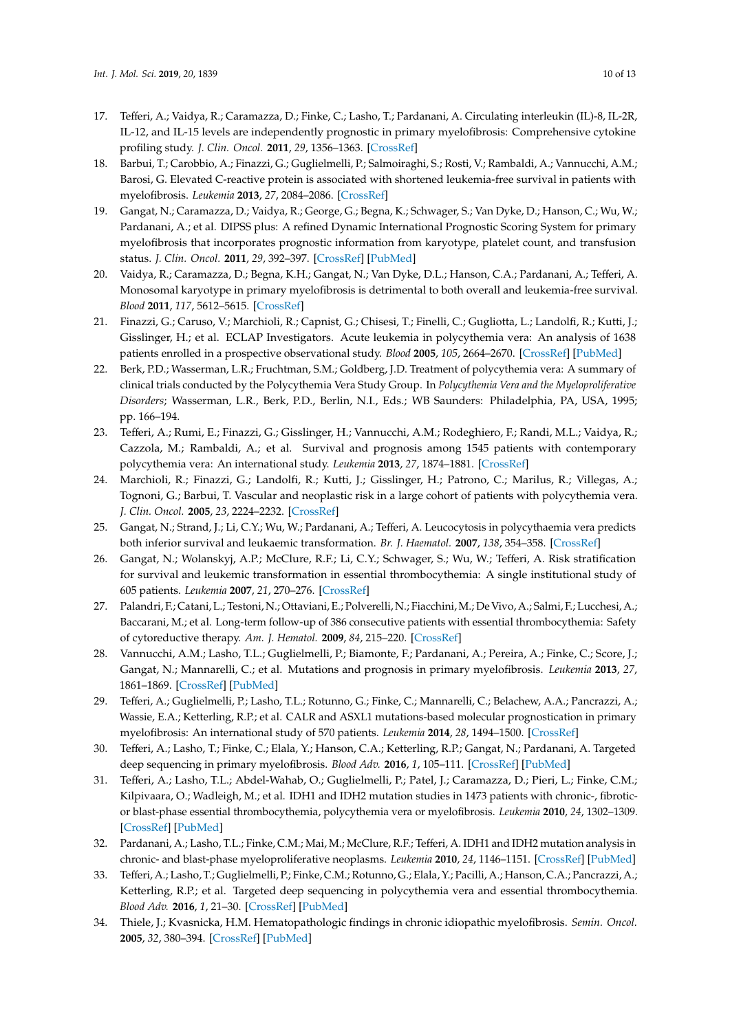- <span id="page-9-0"></span>17. Tefferi, A.; Vaidya, R.; Caramazza, D.; Finke, C.; Lasho, T.; Pardanani, A. Circulating interleukin (IL)-8, IL-2R, IL-12, and IL-15 levels are independently prognostic in primary myelofibrosis: Comprehensive cytokine profiling study. *J. Clin. Oncol.* **2011**, *29*, 1356–1363. [\[CrossRef\]](http://dx.doi.org/10.1200/JCO.2010.32.9490)
- <span id="page-9-1"></span>18. Barbui, T.; Carobbio, A.; Finazzi, G.; Guglielmelli, P.; Salmoiraghi, S.; Rosti, V.; Rambaldi, A.; Vannucchi, A.M.; Barosi, G. Elevated C-reactive protein is associated with shortened leukemia-free survival in patients with myelofibrosis. *Leukemia* **2013**, *27*, 2084–2086. [\[CrossRef\]](http://dx.doi.org/10.1038/leu.2013.207)
- <span id="page-9-2"></span>19. Gangat, N.; Caramazza, D.; Vaidya, R.; George, G.; Begna, K.; Schwager, S.; Van Dyke, D.; Hanson, C.; Wu, W.; Pardanani, A.; et al. DIPSS plus: A refined Dynamic International Prognostic Scoring System for primary myelofibrosis that incorporates prognostic information from karyotype, platelet count, and transfusion status. *J. Clin. Oncol.* **2011**, *29*, 392–397. [\[CrossRef\]](http://dx.doi.org/10.1200/JCO.2010.32.2446) [\[PubMed\]](http://www.ncbi.nlm.nih.gov/pubmed/21149668)
- <span id="page-9-3"></span>20. Vaidya, R.; Caramazza, D.; Begna, K.H.; Gangat, N.; Van Dyke, D.L.; Hanson, C.A.; Pardanani, A.; Tefferi, A. Monosomal karyotype in primary myelofibrosis is detrimental to both overall and leukemia-free survival. *Blood* **2011**, *117*, 5612–5615. [\[CrossRef\]](http://dx.doi.org/10.1182/blood-2010-11-320002)
- <span id="page-9-4"></span>21. Finazzi, G.; Caruso, V.; Marchioli, R.; Capnist, G.; Chisesi, T.; Finelli, C.; Gugliotta, L.; Landolfi, R.; Kutti, J.; Gisslinger, H.; et al. ECLAP Investigators. Acute leukemia in polycythemia vera: An analysis of 1638 patients enrolled in a prospective observational study. *Blood* **2005**, *105*, 2664–2670. [\[CrossRef\]](http://dx.doi.org/10.1182/blood-2004-09-3426) [\[PubMed\]](http://www.ncbi.nlm.nih.gov/pubmed/15585653)
- <span id="page-9-5"></span>22. Berk, P.D.; Wasserman, L.R.; Fruchtman, S.M.; Goldberg, J.D. Treatment of polycythemia vera: A summary of clinical trials conducted by the Polycythemia Vera Study Group. In *Polycythemia Vera and the Myeloproliferative Disorders*; Wasserman, L.R., Berk, P.D., Berlin, N.I., Eds.; WB Saunders: Philadelphia, PA, USA, 1995; pp. 166–194.
- <span id="page-9-6"></span>23. Tefferi, A.; Rumi, E.; Finazzi, G.; Gisslinger, H.; Vannucchi, A.M.; Rodeghiero, F.; Randi, M.L.; Vaidya, R.; Cazzola, M.; Rambaldi, A.; et al. Survival and prognosis among 1545 patients with contemporary polycythemia vera: An international study. *Leukemia* **2013**, *27*, 1874–1881. [\[CrossRef\]](http://dx.doi.org/10.1038/leu.2013.163)
- <span id="page-9-7"></span>24. Marchioli, R.; Finazzi, G.; Landolfi, R.; Kutti, J.; Gisslinger, H.; Patrono, C.; Marilus, R.; Villegas, A.; Tognoni, G.; Barbui, T. Vascular and neoplastic risk in a large cohort of patients with polycythemia vera. *J. Clin. Oncol.* **2005**, *23*, 2224–2232. [\[CrossRef\]](http://dx.doi.org/10.1200/JCO.2005.07.062)
- <span id="page-9-8"></span>25. Gangat, N.; Strand, J.; Li, C.Y.; Wu, W.; Pardanani, A.; Tefferi, A. Leucocytosis in polycythaemia vera predicts both inferior survival and leukaemic transformation. *Br. J. Haematol.* **2007**, *138*, 354–358. [\[CrossRef\]](http://dx.doi.org/10.1111/j.1365-2141.2007.06674.x)
- <span id="page-9-9"></span>26. Gangat, N.; Wolanskyj, A.P.; McClure, R.F.; Li, C.Y.; Schwager, S.; Wu, W.; Tefferi, A. Risk stratification for survival and leukemic transformation in essential thrombocythemia: A single institutional study of 605 patients. *Leukemia* **2007**, *21*, 270–276. [\[CrossRef\]](http://dx.doi.org/10.1038/sj.leu.2404500)
- <span id="page-9-10"></span>27. Palandri, F.; Catani, L.; Testoni, N.; Ottaviani, E.; Polverelli, N.; Fiacchini, M.; De Vivo, A.; Salmi, F.; Lucchesi, A.; Baccarani, M.; et al. Long-term follow-up of 386 consecutive patients with essential thrombocythemia: Safety of cytoreductive therapy. *Am. J. Hematol.* **2009**, *84*, 215–220. [\[CrossRef\]](http://dx.doi.org/10.1002/ajh.21360)
- <span id="page-9-11"></span>28. Vannucchi, A.M.; Lasho, T.L.; Guglielmelli, P.; Biamonte, F.; Pardanani, A.; Pereira, A.; Finke, C.; Score, J.; Gangat, N.; Mannarelli, C.; et al. Mutations and prognosis in primary myelofibrosis. *Leukemia* **2013**, *27*, 1861–1869. [\[CrossRef\]](http://dx.doi.org/10.1038/leu.2013.119) [\[PubMed\]](http://www.ncbi.nlm.nih.gov/pubmed/23619563)
- 29. Tefferi, A.; Guglielmelli, P.; Lasho, T.L.; Rotunno, G.; Finke, C.; Mannarelli, C.; Belachew, A.A.; Pancrazzi, A.; Wassie, E.A.; Ketterling, R.P.; et al. CALR and ASXL1 mutations-based molecular prognostication in primary myelofibrosis: An international study of 570 patients. *Leukemia* **2014**, *28*, 1494–1500. [\[CrossRef\]](http://dx.doi.org/10.1038/leu.2014.57)
- <span id="page-9-13"></span>30. Tefferi, A.; Lasho, T.; Finke, C.; Elala, Y.; Hanson, C.A.; Ketterling, R.P.; Gangat, N.; Pardanani, A. Targeted deep sequencing in primary myelofibrosis. *Blood Adv.* **2016**, *1*, 105–111. [\[CrossRef\]](http://dx.doi.org/10.1182/bloodadvances.2016000208) [\[PubMed\]](http://www.ncbi.nlm.nih.gov/pubmed/29296803)
- 31. Tefferi, A.; Lasho, T.L.; Abdel-Wahab, O.; Guglielmelli, P.; Patel, J.; Caramazza, D.; Pieri, L.; Finke, C.M.; Kilpivaara, O.; Wadleigh, M.; et al. IDH1 and IDH2 mutation studies in 1473 patients with chronic-, fibroticor blast-phase essential thrombocythemia, polycythemia vera or myelofibrosis. *Leukemia* **2010**, *24*, 1302–1309. [\[CrossRef\]](http://dx.doi.org/10.1038/leu.2010.113) [\[PubMed\]](http://www.ncbi.nlm.nih.gov/pubmed/20508616)
- <span id="page-9-12"></span>32. Pardanani, A.; Lasho, T.L.; Finke, C.M.; Mai, M.; McClure, R.F.; Tefferi, A. IDH1 and IDH2 mutation analysis in chronic- and blast-phase myeloproliferative neoplasms. *Leukemia* **2010**, *24*, 1146–1151. [\[CrossRef\]](http://dx.doi.org/10.1038/leu.2010.77) [\[PubMed\]](http://www.ncbi.nlm.nih.gov/pubmed/20410924)
- <span id="page-9-14"></span>33. Tefferi, A.; Lasho, T.; Guglielmelli, P.; Finke, C.M.; Rotunno, G.; Elala, Y.; Pacilli, A.; Hanson, C.A.; Pancrazzi, A.; Ketterling, R.P.; et al. Targeted deep sequencing in polycythemia vera and essential thrombocythemia. *Blood Adv.* **2016**, *1*, 21–30. [\[CrossRef\]](http://dx.doi.org/10.1182/bloodadvances.2016000216) [\[PubMed\]](http://www.ncbi.nlm.nih.gov/pubmed/29296692)
- <span id="page-9-15"></span>34. Thiele, J.; Kvasnicka, H.M. Hematopathologic findings in chronic idiopathic myelofibrosis. *Semin. Oncol.* **2005**, *32*, 380–394. [\[CrossRef\]](http://dx.doi.org/10.1053/j.seminoncol.2005.04.010) [\[PubMed\]](http://www.ncbi.nlm.nih.gov/pubmed/16202684)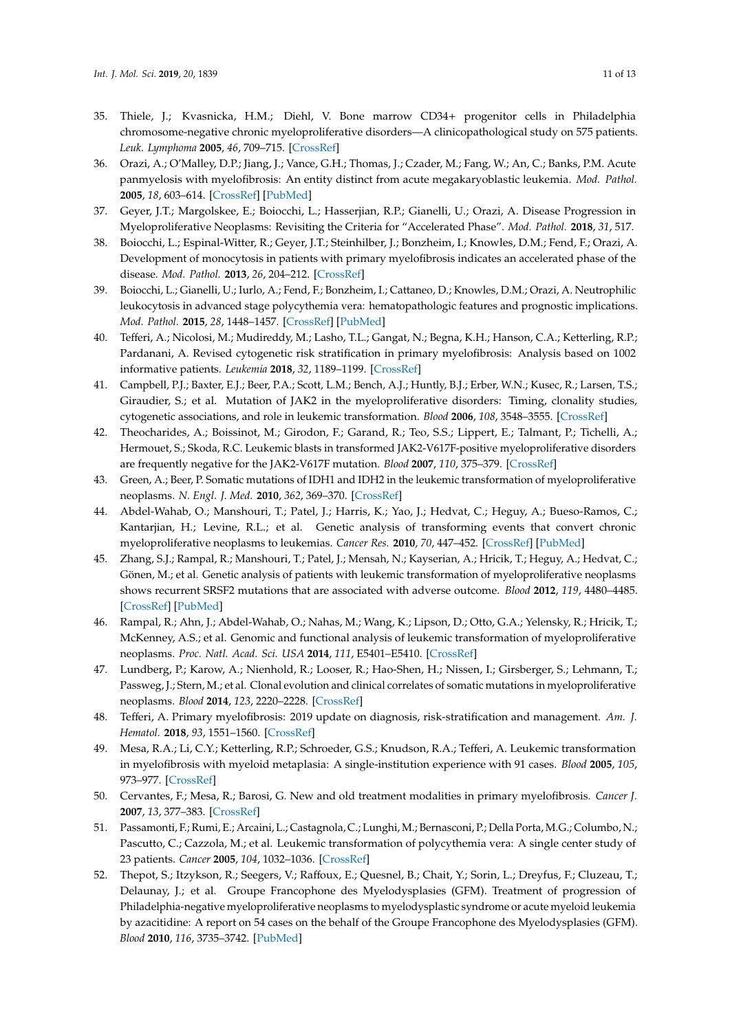- <span id="page-10-0"></span>35. Thiele, J.; Kvasnicka, H.M.; Diehl, V. Bone marrow CD34+ progenitor cells in Philadelphia chromosome-negative chronic myeloproliferative disorders—A clinicopathological study on 575 patients. *Leuk. Lymphoma* **2005**, *46*, 709–715. [\[CrossRef\]](http://dx.doi.org/10.1080/10428190500046554)
- <span id="page-10-1"></span>36. Orazi, A.; O'Malley, D.P.; Jiang, J.; Vance, G.H.; Thomas, J.; Czader, M.; Fang, W.; An, C.; Banks, P.M. Acute panmyelosis with myelofibrosis: An entity distinct from acute megakaryoblastic leukemia. *Mod. Pathol.* **2005**, *18*, 603–614. [\[CrossRef\]](http://dx.doi.org/10.1038/modpathol.3800348) [\[PubMed\]](http://www.ncbi.nlm.nih.gov/pubmed/15578075)
- <span id="page-10-2"></span>37. Geyer, J.T.; Margolskee, E.; Boiocchi, L.; Hasserjian, R.P.; Gianelli, U.; Orazi, A. Disease Progression in Myeloproliferative Neoplasms: Revisiting the Criteria for "Accelerated Phase". *Mod. Pathol.* **2018**, *31*, 517.
- <span id="page-10-3"></span>38. Boiocchi, L.; Espinal-Witter, R.; Geyer, J.T.; Steinhilber, J.; Bonzheim, I.; Knowles, D.M.; Fend, F.; Orazi, A. Development of monocytosis in patients with primary myelofibrosis indicates an accelerated phase of the disease. *Mod. Pathol.* **2013**, *26*, 204–212. [\[CrossRef\]](http://dx.doi.org/10.1038/modpathol.2012.165)
- <span id="page-10-4"></span>39. Boiocchi, L.; Gianelli, U.; Iurlo, A.; Fend, F.; Bonzheim, I.; Cattaneo, D.; Knowles, D.M.; Orazi, A. Neutrophilic leukocytosis in advanced stage polycythemia vera: hematopathologic features and prognostic implications. *Mod. Pathol.* **2015**, *28*, 1448–1457. [\[CrossRef\]](http://dx.doi.org/10.1038/modpathol.2015.100) [\[PubMed\]](http://www.ncbi.nlm.nih.gov/pubmed/26336886)
- <span id="page-10-5"></span>40. Tefferi, A.; Nicolosi, M.; Mudireddy, M.; Lasho, T.L.; Gangat, N.; Begna, K.H.; Hanson, C.A.; Ketterling, R.P.; Pardanani, A. Revised cytogenetic risk stratification in primary myelofibrosis: Analysis based on 1002 informative patients. *Leukemia* **2018**, *32*, 1189–1199. [\[CrossRef\]](http://dx.doi.org/10.1038/s41375-018-0018-z)
- <span id="page-10-6"></span>41. Campbell, P.J.; Baxter, E.J.; Beer, P.A.; Scott, L.M.; Bench, A.J.; Huntly, B.J.; Erber, W.N.; Kusec, R.; Larsen, T.S.; Giraudier, S.; et al. Mutation of JAK2 in the myeloproliferative disorders: Timing, clonality studies, cytogenetic associations, and role in leukemic transformation. *Blood* **2006**, *108*, 3548–3555. [\[CrossRef\]](http://dx.doi.org/10.1182/blood-2005-12-013748)
- <span id="page-10-7"></span>42. Theocharides, A.; Boissinot, M.; Girodon, F.; Garand, R.; Teo, S.S.; Lippert, E.; Talmant, P.; Tichelli, A.; Hermouet, S.; Skoda, R.C. Leukemic blasts in transformed JAK2-V617F-positive myeloproliferative disorders are frequently negative for the JAK2-V617F mutation. *Blood* **2007**, *110*, 375–379. [\[CrossRef\]](http://dx.doi.org/10.1182/blood-2006-12-062125)
- <span id="page-10-8"></span>43. Green, A.; Beer, P. Somatic mutations of IDH1 and IDH2 in the leukemic transformation of myeloproliferative neoplasms. *N. Engl. J. Med.* **2010**, *362*, 369–370. [\[CrossRef\]](http://dx.doi.org/10.1056/NEJMc0910063)
- 44. Abdel-Wahab, O.; Manshouri, T.; Patel, J.; Harris, K.; Yao, J.; Hedvat, C.; Heguy, A.; Bueso-Ramos, C.; Kantarjian, H.; Levine, R.L.; et al. Genetic analysis of transforming events that convert chronic myeloproliferative neoplasms to leukemias. *Cancer Res.* **2010**, *70*, 447–452. [\[CrossRef\]](http://dx.doi.org/10.1158/0008-5472.CAN-09-3783) [\[PubMed\]](http://www.ncbi.nlm.nih.gov/pubmed/20068184)
- 45. Zhang, S.J.; Rampal, R.; Manshouri, T.; Patel, J.; Mensah, N.; Kayserian, A.; Hricik, T.; Heguy, A.; Hedvat, C.; Gönen, M.; et al. Genetic analysis of patients with leukemic transformation of myeloproliferative neoplasms shows recurrent SRSF2 mutations that are associated with adverse outcome. *Blood* **2012**, *119*, 4480–4485. [\[CrossRef\]](http://dx.doi.org/10.1182/blood-2011-11-390252) [\[PubMed\]](http://www.ncbi.nlm.nih.gov/pubmed/22431577)
- <span id="page-10-9"></span>46. Rampal, R.; Ahn, J.; Abdel-Wahab, O.; Nahas, M.; Wang, K.; Lipson, D.; Otto, G.A.; Yelensky, R.; Hricik, T.; McKenney, A.S.; et al. Genomic and functional analysis of leukemic transformation of myeloproliferative neoplasms. *Proc. Natl. Acad. Sci. USA* **2014**, *111*, E5401–E5410. [\[CrossRef\]](http://dx.doi.org/10.1073/pnas.1407792111)
- <span id="page-10-10"></span>47. Lundberg, P.; Karow, A.; Nienhold, R.; Looser, R.; Hao-Shen, H.; Nissen, I.; Girsberger, S.; Lehmann, T.; Passweg, J.; Stern, M.; et al. Clonal evolution and clinical correlates of somatic mutations in myeloproliferative neoplasms. *Blood* **2014**, *123*, 2220–2228. [\[CrossRef\]](http://dx.doi.org/10.1182/blood-2013-11-537167)
- <span id="page-10-11"></span>48. Tefferi, A. Primary myelofibrosis: 2019 update on diagnosis, risk-stratification and management. *Am. J. Hematol.* **2018**, *93*, 1551–1560. [\[CrossRef\]](http://dx.doi.org/10.1002/ajh.25230)
- <span id="page-10-12"></span>49. Mesa, R.A.; Li, C.Y.; Ketterling, R.P.; Schroeder, G.S.; Knudson, R.A.; Tefferi, A. Leukemic transformation in myelofibrosis with myeloid metaplasia: A single-institution experience with 91 cases. *Blood* **2005**, *105*, 973–977. [\[CrossRef\]](http://dx.doi.org/10.1182/blood-2004-07-2864)
- 50. Cervantes, F.; Mesa, R.; Barosi, G. New and old treatment modalities in primary myelofibrosis. *Cancer J.* **2007**, *13*, 377–383. [\[CrossRef\]](http://dx.doi.org/10.1097/PPO.0b013e31815a7c0a)
- <span id="page-10-13"></span>51. Passamonti, F.; Rumi, E.; Arcaini, L.; Castagnola, C.; Lunghi, M.; Bernasconi, P.; Della Porta, M.G.; Columbo, N.; Pascutto, C.; Cazzola, M.; et al. Leukemic transformation of polycythemia vera: A single center study of 23 patients. *Cancer* **2005**, *104*, 1032–1036. [\[CrossRef\]](http://dx.doi.org/10.1002/cncr.21297)
- <span id="page-10-14"></span>52. Thepot, S.; Itzykson, R.; Seegers, V.; Raffoux, E.; Quesnel, B.; Chait, Y.; Sorin, L.; Dreyfus, F.; Cluzeau, T.; Delaunay, J.; et al. Groupe Francophone des Myelodysplasies (GFM). Treatment of progression of Philadelphia-negative myeloproliferative neoplasms to myelodysplastic syndrome or acute myeloid leukemia by azacitidine: A report on 54 cases on the behalf of the Groupe Francophone des Myelodysplasies (GFM). *Blood* **2010**, *116*, 3735–3742. [\[PubMed\]](http://www.ncbi.nlm.nih.gov/pubmed/20664061)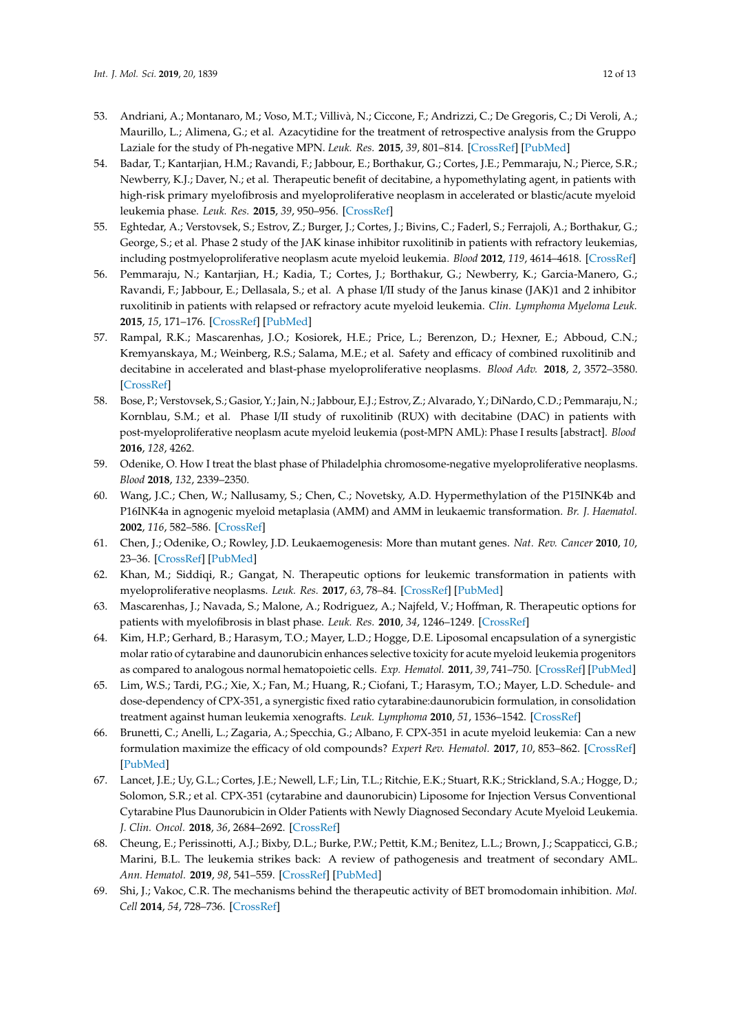- <span id="page-11-0"></span>53. Andriani, A.; Montanaro, M.; Voso, M.T.; Villivà, N.; Ciccone, F.; Andrizzi, C.; De Gregoris, C.; Di Veroli, A.; Maurillo, L.; Alimena, G.; et al. Azacytidine for the treatment of retrospective analysis from the Gruppo Laziale for the study of Ph-negative MPN. *Leuk. Res.* **2015**, *39*, 801–814. [\[CrossRef\]](http://dx.doi.org/10.1016/j.leukres.2015.03.001) [\[PubMed\]](http://www.ncbi.nlm.nih.gov/pubmed/26065981)
- <span id="page-11-1"></span>54. Badar, T.; Kantarjian, H.M.; Ravandi, F.; Jabbour, E.; Borthakur, G.; Cortes, J.E.; Pemmaraju, N.; Pierce, S.R.; Newberry, K.J.; Daver, N.; et al. Therapeutic benefit of decitabine, a hypomethylating agent, in patients with high-risk primary myelofibrosis and myeloproliferative neoplasm in accelerated or blastic/acute myeloid leukemia phase. *Leuk. Res.* **2015**, *39*, 950–956. [\[CrossRef\]](http://dx.doi.org/10.1016/j.leukres.2015.06.001)
- <span id="page-11-2"></span>55. Eghtedar, A.; Verstovsek, S.; Estrov, Z.; Burger, J.; Cortes, J.; Bivins, C.; Faderl, S.; Ferrajoli, A.; Borthakur, G.; George, S.; et al. Phase 2 study of the JAK kinase inhibitor ruxolitinib in patients with refractory leukemias, including postmyeloproliferative neoplasm acute myeloid leukemia. *Blood* **2012**, *119*, 4614–4618. [\[CrossRef\]](http://dx.doi.org/10.1182/blood-2011-12-400051)
- <span id="page-11-3"></span>56. Pemmaraju, N.; Kantarjian, H.; Kadia, T.; Cortes, J.; Borthakur, G.; Newberry, K.; Garcia-Manero, G.; Ravandi, F.; Jabbour, E.; Dellasala, S.; et al. A phase I/II study of the Janus kinase (JAK)1 and 2 inhibitor ruxolitinib in patients with relapsed or refractory acute myeloid leukemia. *Clin. Lymphoma Myeloma Leuk.* **2015**, *15*, 171–176. [\[CrossRef\]](http://dx.doi.org/10.1016/j.clml.2014.08.003) [\[PubMed\]](http://www.ncbi.nlm.nih.gov/pubmed/25441108)
- <span id="page-11-4"></span>57. Rampal, R.K.; Mascarenhas, J.O.; Kosiorek, H.E.; Price, L.; Berenzon, D.; Hexner, E.; Abboud, C.N.; Kremyanskaya, M.; Weinberg, R.S.; Salama, M.E.; et al. Safety and efficacy of combined ruxolitinib and decitabine in accelerated and blast-phase myeloproliferative neoplasms. *Blood Adv.* **2018**, *2*, 3572–3580. [\[CrossRef\]](http://dx.doi.org/10.1182/bloodadvances.2018019661)
- <span id="page-11-5"></span>58. Bose, P.; Verstovsek, S.; Gasior, Y.; Jain, N.; Jabbour, E.J.; Estrov, Z.; Alvarado, Y.; DiNardo, C.D.; Pemmaraju, N.; Kornblau, S.M.; et al. Phase I/II study of ruxolitinib (RUX) with decitabine (DAC) in patients with post-myeloproliferative neoplasm acute myeloid leukemia (post-MPN AML): Phase I results [abstract]. *Blood* **2016**, *128*, 4262.
- <span id="page-11-6"></span>59. Odenike, O. How I treat the blast phase of Philadelphia chromosome-negative myeloproliferative neoplasms. *Blood* **2018**, *132*, 2339–2350.
- <span id="page-11-7"></span>60. Wang, J.C.; Chen, W.; Nallusamy, S.; Chen, C.; Novetsky, A.D. Hypermethylation of the P15INK4b and P16INK4a in agnogenic myeloid metaplasia (AMM) and AMM in leukaemic transformation. *Br. J. Haematol.* **2002**, *116*, 582–586. [\[CrossRef\]](http://dx.doi.org/10.1046/j.0007-1048.2001.03319.x)
- <span id="page-11-8"></span>61. Chen, J.; Odenike, O.; Rowley, J.D. Leukaemogenesis: More than mutant genes. *Nat. Rev. Cancer* **2010**, *10*, 23–36. [\[CrossRef\]](http://dx.doi.org/10.1038/nrc2765) [\[PubMed\]](http://www.ncbi.nlm.nih.gov/pubmed/20029422)
- <span id="page-11-9"></span>62. Khan, M.; Siddiqi, R.; Gangat, N. Therapeutic options for leukemic transformation in patients with myeloproliferative neoplasms. *Leuk. Res.* **2017**, *63*, 78–84. [\[CrossRef\]](http://dx.doi.org/10.1016/j.leukres.2017.10.009) [\[PubMed\]](http://www.ncbi.nlm.nih.gov/pubmed/29121538)
- <span id="page-11-10"></span>63. Mascarenhas, J.; Navada, S.; Malone, A.; Rodriguez, A.; Najfeld, V.; Hoffman, R. Therapeutic options for patients with myelofibrosis in blast phase. *Leuk. Res.* **2010**, *34*, 1246–1249. [\[CrossRef\]](http://dx.doi.org/10.1016/j.leukres.2010.05.008)
- <span id="page-11-11"></span>64. Kim, H.P.; Gerhard, B.; Harasym, T.O.; Mayer, L.D.; Hogge, D.E. Liposomal encapsulation of a synergistic molar ratio of cytarabine and daunorubicin enhances selective toxicity for acute myeloid leukemia progenitors as compared to analogous normal hematopoietic cells. *Exp. Hematol.* **2011**, *39*, 741–750. [\[CrossRef\]](http://dx.doi.org/10.1016/j.exphem.2011.04.001) [\[PubMed\]](http://www.ncbi.nlm.nih.gov/pubmed/21530609)
- <span id="page-11-12"></span>65. Lim, W.S.; Tardi, P.G.; Xie, X.; Fan, M.; Huang, R.; Ciofani, T.; Harasym, T.O.; Mayer, L.D. Schedule- and dose-dependency of CPX-351, a synergistic fixed ratio cytarabine:daunorubicin formulation, in consolidation treatment against human leukemia xenografts. *Leuk. Lymphoma* **2010**, *51*, 1536–1542. [\[CrossRef\]](http://dx.doi.org/10.3109/10428194.2010.490312)
- <span id="page-11-13"></span>66. Brunetti, C.; Anelli, L.; Zagaria, A.; Specchia, G.; Albano, F. CPX-351 in acute myeloid leukemia: Can a new formulation maximize the efficacy of old compounds? *Expert Rev. Hematol.* **2017**, *10*, 853–862. [\[CrossRef\]](http://dx.doi.org/10.1080/17474086.2017.1369400) [\[PubMed\]](http://www.ncbi.nlm.nih.gov/pubmed/28814164)
- <span id="page-11-14"></span>67. Lancet, J.E.; Uy, G.L.; Cortes, J.E.; Newell, L.F.; Lin, T.L.; Ritchie, E.K.; Stuart, R.K.; Strickland, S.A.; Hogge, D.; Solomon, S.R.; et al. CPX-351 (cytarabine and daunorubicin) Liposome for Injection Versus Conventional Cytarabine Plus Daunorubicin in Older Patients with Newly Diagnosed Secondary Acute Myeloid Leukemia. *J. Clin. Oncol.* **2018**, *36*, 2684–2692. [\[CrossRef\]](http://dx.doi.org/10.1200/JCO.2017.77.6112)
- <span id="page-11-15"></span>68. Cheung, E.; Perissinotti, A.J.; Bixby, D.L.; Burke, P.W.; Pettit, K.M.; Benitez, L.L.; Brown, J.; Scappaticci, G.B.; Marini, B.L. The leukemia strikes back: A review of pathogenesis and treatment of secondary AML. *Ann. Hematol.* **2019**, *98*, 541–559. [\[CrossRef\]](http://dx.doi.org/10.1007/s00277-019-03606-0) [\[PubMed\]](http://www.ncbi.nlm.nih.gov/pubmed/30666431)
- <span id="page-11-16"></span>69. Shi, J.; Vakoc, C.R. The mechanisms behind the therapeutic activity of BET bromodomain inhibition. *Mol. Cell* **2014**, *54*, 728–736. [\[CrossRef\]](http://dx.doi.org/10.1016/j.molcel.2014.05.016)